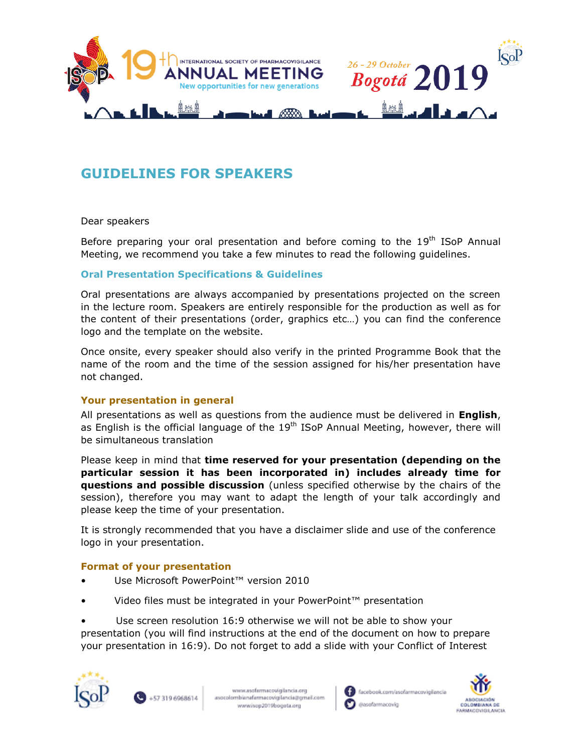

# **GUIDELINES FOR SPEAKERS**

## Dear speakers

Before preparing your oral presentation and before coming to the 19<sup>th</sup> ISoP Annual Meeting, we recommend you take a few minutes to read the following guidelines.

## **Oral Presentation Specifications & Guidelines**

Oral presentations are always accompanied by presentations projected on the screen in the lecture room. Speakers are entirely responsible for the production as well as for the content of their presentations (order, graphics etc…) you can find the conference logo and the template on the website.

Once onsite, every speaker should also verify in the printed Programme Book that the name of the room and the time of the session assigned for his/her presentation have not changed.

## **Your presentation in general**

All presentations as well as questions from the audience must be delivered in **English**, as English is the official language of the 19<sup>th</sup> ISoP Annual Meeting, however, there will be simultaneous translation

Please keep in mind that **time reserved for your presentation (depending on the [particular session](https://www.isop2018geneva.org/programme/tentative-programme.html) it has been incorporated in) includes already time for questions and possible discussion** (unless specified otherwise by the chairs of the session), therefore you may want to adapt the length of your talk accordingly and please keep the time of your presentation.

It is strongly recommended that you have a disclaimer slide and use of the conference logo in your presentation.

## **Format of your presentation**

- Use Microsoft PowerPoint™ version 2010
- Video files must be integrated in your PowerPoint™ presentation

• Use screen resolution 16:9 otherwise we will not be able to show your presentation (you will find instructions at the end of the document on how to prepare your presentation in 16:9). Do not forget to add a slide with your Conflict of Interest





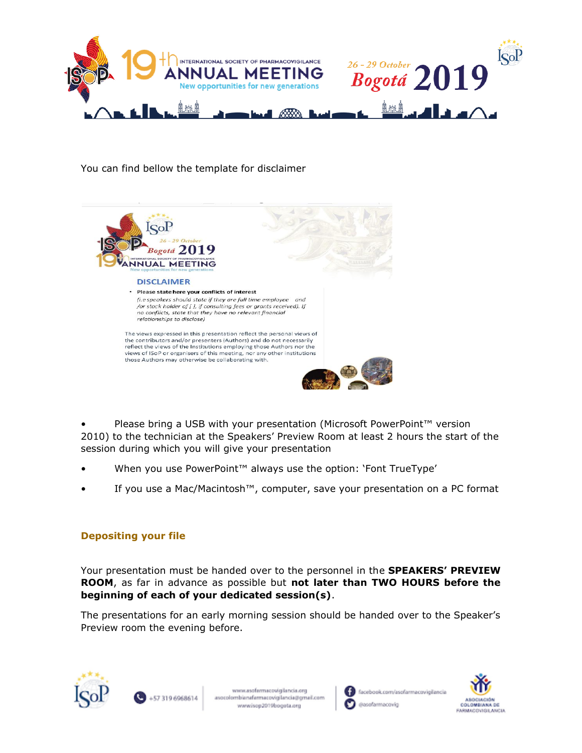

You can find bellow the template for disclaimer



Please bring a USB with your presentation (Microsoft PowerPoint™ version 2010) to the technician at the Speakers' Preview Room at least 2 hours the start of the session during which you will give your presentation

- When you use PowerPoint™ always use the option: 'Font TrueType'
- If you use a Mac/Macintosh™, computer, save your presentation on a PC format

# **Depositing your file**

Your presentation must be handed over to the personnel in the **SPEAKERS' PREVIEW ROOM**, as far in advance as possible but **not later than TWO HOURS before the beginning of each of your dedicated session(s)**.

The presentations for an early morning session should be handed over to the Speaker's Preview room the evening before.





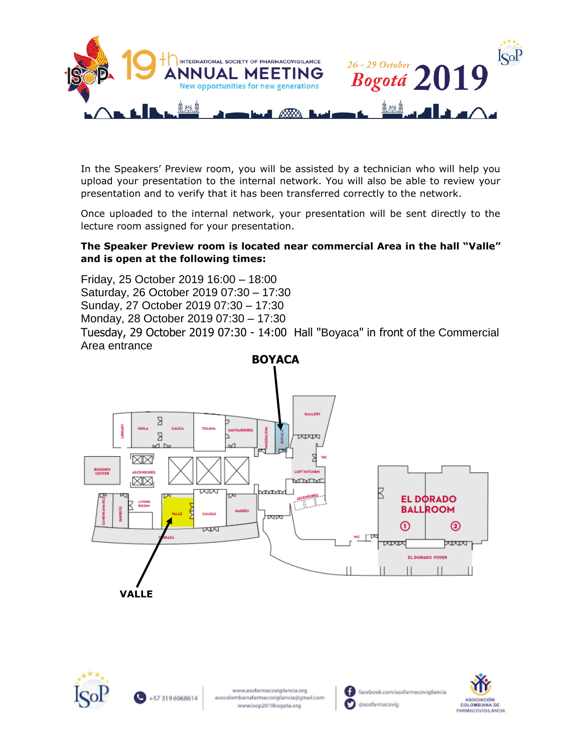

In the Speakers' Preview room, you will be assisted by a technician who will help you upload your presentation to the internal network. You will also be able to review your presentation and to verify that it has been transferred correctly to the network.

Once uploaded to the internal network, your presentation will be sent directly to the lecture room assigned for your presentation.

# **The Speaker Preview room is located near commercial Area in the hall "Valle" and is open at the following times:**

Friday, 25 October 2019 16:00 – 18:00 Saturday, 26 October 2019 07:30 – 17:30 Sunday, 27 October 2019 07:30 – 17:30 Monday, 28 October 2019 07:30 – 17:30 Tuesday, 29 October 2019 07:30 - 14:00 Hall "Boyaca" in front of the Commercial Area entrance







O facebook.com/asofarmacovigilancia O ausofarmacovio

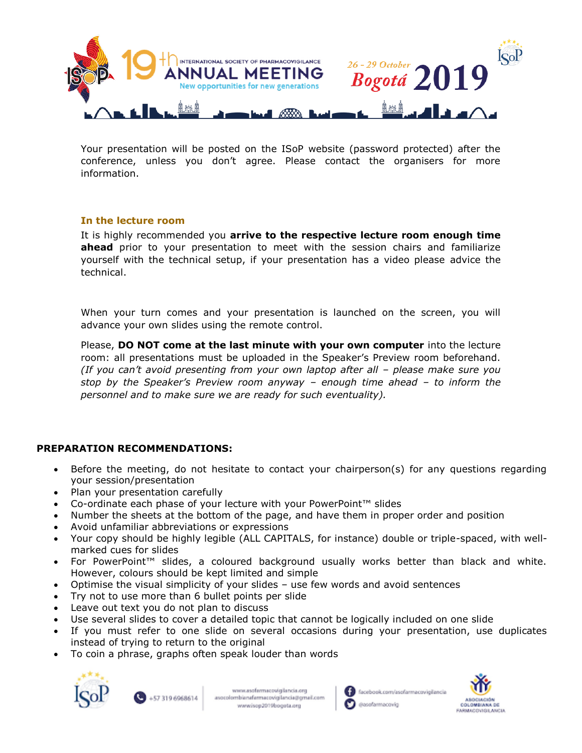

Your presentation will be posted on the ISoP website (password protected) after the conference, unless you don't agree. Please contact the organisers for more information.

## **In the lecture room**

It is highly recommended you **arrive to the respective lecture room enough time ahead** prior to your presentation to meet with the session chairs and familiarize yourself with the technical setup, if your presentation has a video please advice the technical.

When your turn comes and your presentation is launched on the screen, you will advance your own slides using the remote control.

Please, **DO NOT come at the last minute with your own computer** into the lecture room: all presentations must be uploaded in the Speaker's Preview room beforehand. *(If you can't avoid presenting from your own laptop after all – please make sure you stop by the Speaker's Preview room anyway – enough time ahead – to inform the personnel and to make sure we are ready for such eventuality).*

# **PREPARATION RECOMMENDATIONS:**

- Before the meeting, do not hesitate to contact your chairperson(s) for any questions regarding your session/presentation
- Plan your presentation carefully
- Co-ordinate each phase of your lecture with your PowerPoint™ slides
- Number the sheets at the bottom of the page, and have them in proper order and position
- Avoid unfamiliar abbreviations or expressions
- Your copy should be highly legible (ALL CAPITALS, for instance) double or triple-spaced, with wellmarked cues for slides
- For PowerPoint™ slides, a coloured background usually works better than black and white. However, colours should be kept limited and simple
- Optimise the visual simplicity of your slides use few words and avoid sentences
- Try not to use more than 6 bullet points per slide
- Leave out text you do not plan to discuss
- Use several slides to cover a detailed topic that cannot be logically included on one slide
- If you must refer to one slide on several occasions during your presentation, use duplicates instead of trying to return to the original
- To coin a phrase, graphs often speak louder than words







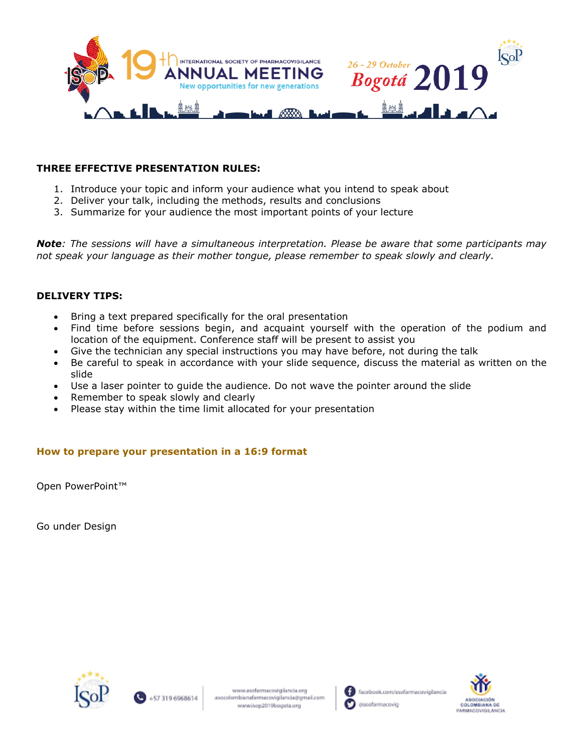

# **THREE EFFECTIVE PRESENTATION RULES:**

- 1. Introduce your topic and inform your audience what you intend to speak about
- 2. Deliver your talk, including the methods, results and conclusions
- 3. Summarize for your audience the most important points of your lecture

*Note: The sessions will have a simultaneous interpretation. Please be aware that some participants may not speak your language as their mother tongue, please remember to speak slowly and clearly.*

# **DELIVERY TIPS:**

- Bring a text prepared specifically for the oral presentation
- Find time before sessions begin, and acquaint yourself with the operation of the podium and location of the equipment. Conference staff will be present to assist you
- Give the technician any special instructions you may have before, not during the talk
- Be careful to speak in accordance with your slide sequence, discuss the material as written on the slide
- Use a laser pointer to guide the audience. Do not wave the pointer around the slide
- Remember to speak slowly and clearly
- Please stay within the time limit allocated for your presentation

# **How to prepare your presentation in a 16:9 format**

Open PowerPoint™

Go under Design





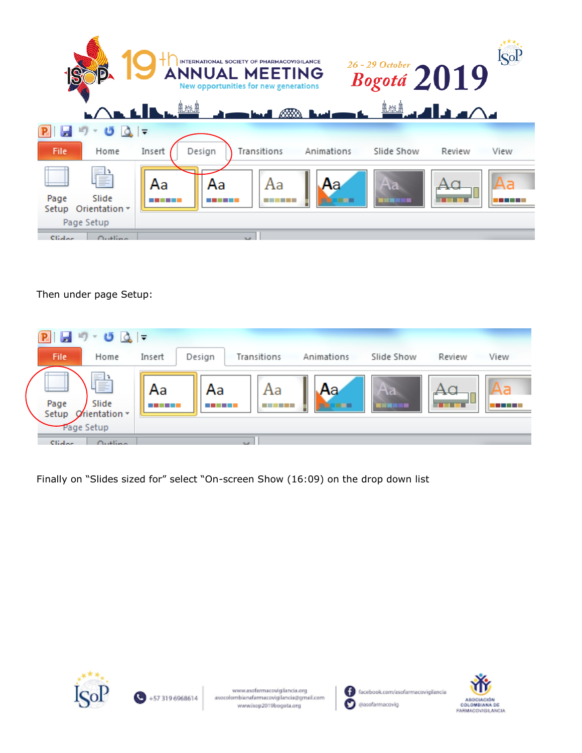|                                                                                         | <b>ISol</b><br>INTERNATIONAL SOCIETY OF PHARMACOVIGILANCE<br>$\overset{\text{\tiny{\textit{26-29 October}}}}{\textit{Bogotá 2019}}$<br><b>ANNUAL MEETING</b><br>New opportunities for new generations<br><u>ॏॕॕॏ</u> ॼॾॏॾॾ△<br>LALLL |
|-----------------------------------------------------------------------------------------|--------------------------------------------------------------------------------------------------------------------------------------------------------------------------------------------------------------------------------------|
| $\begin{array}{c c c c c} \hline \mathbf{a} & \mathbf{b} & \mathbf{c} \end{array}$<br>G |                                                                                                                                                                                                                                      |
| File<br>Home                                                                            | Design<br>Transitions<br>Insert<br>Animations<br>Slide Show<br>View<br>Review                                                                                                                                                        |
| F                                                                                       | Aa<br>Aa<br>Aa<br>Αа<br>۸a                                                                                                                                                                                                           |
| Slide<br>Page<br>Orientation $\tau$<br>Setup                                            |                                                                                                                                                                                                                                      |
| Page Setup                                                                              |                                                                                                                                                                                                                                      |
| Cliator<br>0.404                                                                        |                                                                                                                                                                                                                                      |

Then under page Setup:



Finally on "Slides sized for" select "On-screen Show (16:09) on the drop down list